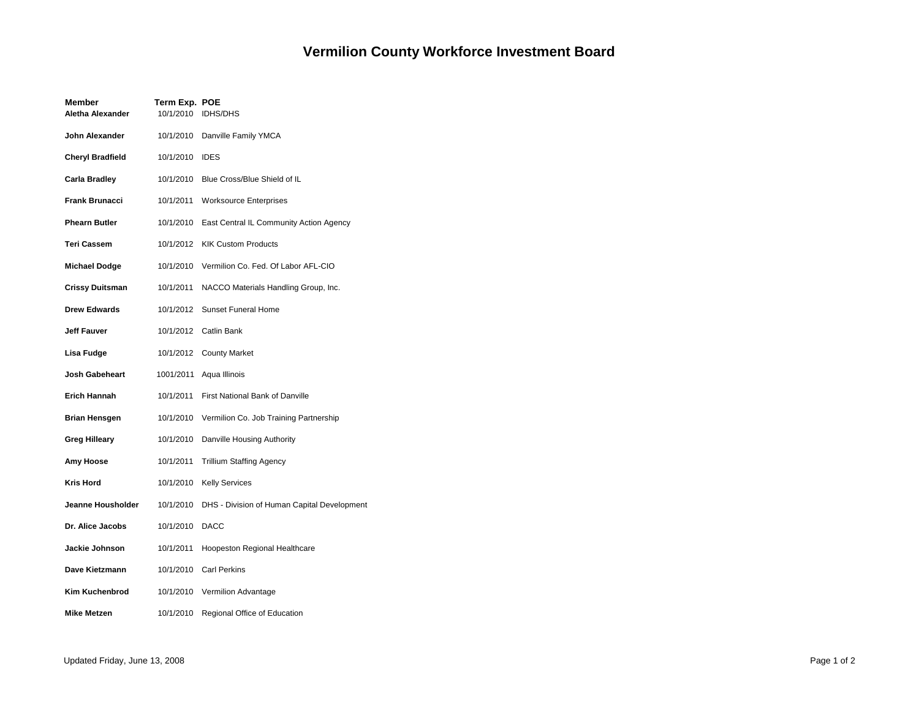## **Vermilion County Workforce Investment Board**

| Member<br>Aletha Alexander | Term Exp. POE<br>10/1/2010 | <b>IDHS/DHS</b>                             |
|----------------------------|----------------------------|---------------------------------------------|
| John Alexander             |                            | 10/1/2010 Danville Family YMCA              |
| <b>Cheryl Bradfield</b>    | 10/1/2010 IDES             |                                             |
| Carla Bradley              |                            | 10/1/2010 Blue Cross/Blue Shield of IL      |
| <b>Frank Brunacci</b>      | 10/1/2011                  | <b>Worksource Enterprises</b>               |
| <b>Phearn Butler</b>       | 10/1/2010                  | East Central IL Community Action Agency     |
| <b>Teri Cassem</b>         |                            | 10/1/2012 KIK Custom Products               |
| Michael Dodge              | 10/1/2010                  | Vermilion Co. Fed. Of Labor AFL-CIO         |
| <b>Crissy Duitsman</b>     | 10/1/2011                  | NACCO Materials Handling Group, Inc.        |
| <b>Drew Edwards</b>        | 10/1/2012                  | <b>Sunset Funeral Home</b>                  |
| Jeff Fauver                |                            | 10/1/2012 Catlin Bank                       |
| Lisa Fudge                 |                            | 10/1/2012 County Market                     |
| Josh Gabeheart             |                            | 1001/2011 Aqua Illinois                     |
| Erich Hannah               | 10/1/2011                  | First National Bank of Danville             |
| Brian Hensgen              | 10/1/2010                  | Vermilion Co. Job Training Partnership      |
| <b>Greg Hilleary</b>       | 10/1/2010                  | Danville Housing Authority                  |
| Amy Hoose                  | 10/1/2011                  | <b>Trillium Staffing Agency</b>             |
| <b>Kris Hord</b>           |                            | 10/1/2010 Kelly Services                    |
| Jeanne Housholder          | 10/1/2010                  | DHS - Division of Human Capital Development |
| Dr. Alice Jacobs           | 10/1/2010                  | <b>DACC</b>                                 |
| Jackie Johnson             | 10/1/2011                  | <b>Hoopeston Regional Healthcare</b>        |
| Dave Kietzmann             |                            | 10/1/2010 Carl Perkins                      |
| Kim Kuchenbrod             | 10/1/2010                  | Vermilion Advantage                         |
| <b>Mike Metzen</b>         | 10/1/2010                  | Regional Office of Education                |